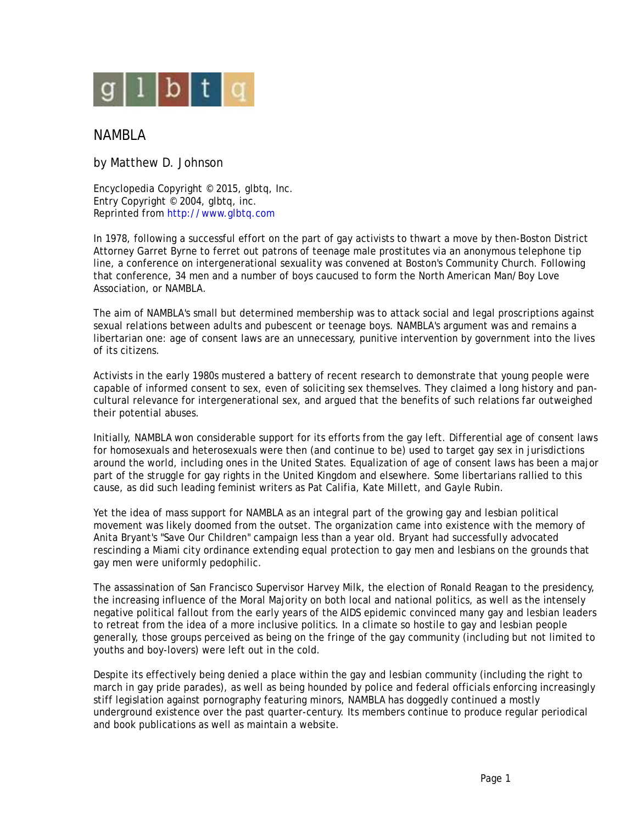

## NAMBLA

by Matthew D. Johnson

Encyclopedia Copyright © 2015, glbtq, Inc. Entry Copyright © 2004, glbtq, inc. Reprinted from<http://www.glbtq.com>

In 1978, following a successful effort on the part of gay activists to thwart a move by then-Boston District Attorney Garret Byrne to ferret out patrons of teenage male prostitutes via an anonymous telephone tip line, a conference on intergenerational sexuality was convened at Boston's Community Church. Following that conference, 34 men and a number of boys caucused to form the North American Man/Boy Love Association, or NAMBLA.

The aim of NAMBLA's small but determined membership was to attack social and legal proscriptions against sexual relations between adults and pubescent or teenage boys. NAMBLA's argument was and remains a libertarian one: age of consent laws are an unnecessary, punitive intervention by government into the lives of its citizens.

Activists in the early 1980s mustered a battery of recent research to demonstrate that young people were capable of informed consent to sex, even of soliciting sex themselves. They claimed a long history and pancultural relevance for intergenerational sex, and argued that the benefits of such relations far outweighed their potential abuses.

Initially, NAMBLA won considerable support for its efforts from the gay left. Differential age of consent laws for homosexuals and heterosexuals were then (and continue to be) used to target gay sex in jurisdictions around the world, including ones in the United States. Equalization of age of consent laws has been a major part of the struggle for gay rights in the United Kingdom and elsewhere. Some libertarians rallied to this cause, as did such leading feminist writers as Pat Califia, Kate Millett, and Gayle Rubin.

Yet the idea of mass support for NAMBLA as an integral part of the growing gay and lesbian political movement was likely doomed from the outset. The organization came into existence with the memory of Anita Bryant's "Save Our Children" campaign less than a year old. Bryant had successfully advocated rescinding a Miami city ordinance extending equal protection to gay men and lesbians on the grounds that gay men were uniformly pedophilic.

The assassination of San Francisco Supervisor Harvey Milk, the election of Ronald Reagan to the presidency, the increasing influence of the Moral Majority on both local and national politics, as well as the intensely negative political fallout from the early years of the AIDS epidemic convinced many gay and lesbian leaders to retreat from the idea of a more inclusive politics. In a climate so hostile to gay and lesbian people generally, those groups perceived as being on the fringe of the gay community (including but not limited to youths and boy-lovers) were left out in the cold.

Despite its effectively being denied a place within the gay and lesbian community (including the right to march in gay pride parades), as well as being hounded by police and federal officials enforcing increasingly stiff legislation against pornography featuring minors, NAMBLA has doggedly continued a mostly underground existence over the past quarter-century. Its members continue to produce regular periodical and book publications as well as maintain a website.